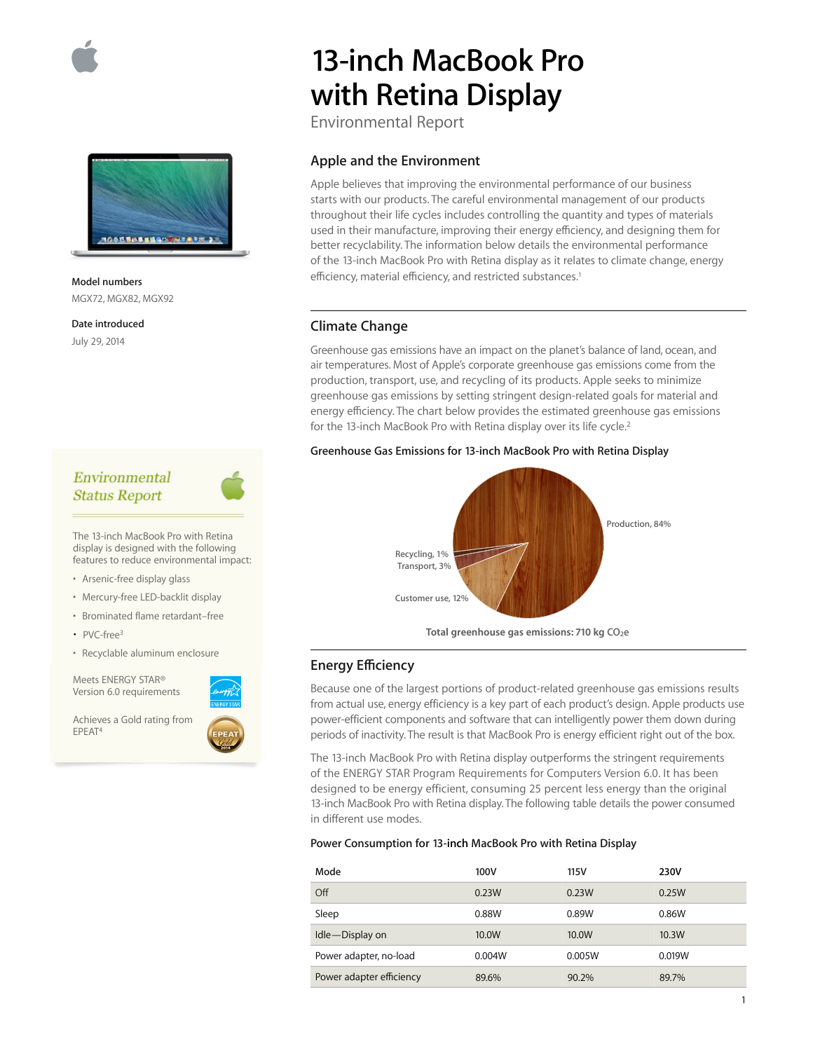



**Model numbers**  MGX72, MGX82, MGX92

**Date introduced**  July 29, 2014

# Environmental **Status Report**

The 13-inch MacBook Pro with Retina display is designed with the following features to reduce environmental impact:

- Arsenic-free display glass
- Mercury-free LED-backlit display
- Brominated flame retardant–free
- $PVC$ -free<sup>3</sup>
- Recyclable aluminum enclosure

Meets ENERGY STAR® Version 6.0 requirements

Achieves a Gold rating from EPEAT4



# **13-inch MacBook Pro with Retina Display**

Environmental Report

# **Apple and the Environment**

Apple believes that improving the environmental performance of our business starts with our products. The careful environmental management of our products throughout their life cycles includes controlling the quantity and types of materials used in their manufacture, improving their energy efficiency, and designing them for better recyclability. The information below details the environmental performance of the 13-inch MacBook Pro with Retina display as it relates to climate change, energy efficiency, material efficiency, and restricted substances.<sup>1</sup>

## **Climate Change**

Greenhouse gas emissions have an impact on the planet's balance of land, ocean, and air temperatures. Most of Apple's corporate greenhouse gas emissions come from the production, transport, use, and recycling of its products. Apple seeks to minimize greenhouse gas emissions by setting stringent design-related goals for material and energy efficiency. The chart below provides the estimated greenhouse gas emissions for the 13-inch MacBook Pro with Retina display over its life cycle.<sup>2</sup>

#### **Greenhouse Gas Emissions for 13-inch MacBook Pro with Retina Display**



Total greenhouse gas emissions: 710 kg CO<sub>2</sub>e

# **Energy E∑ciency**

Because one of the largest portions of product-related greenhouse gas emissions results from actual use, energy efficiency is a key part of each product's design. Apple products use power-efficient components and software that can intelligently power them down during periods of inactivity. The result is that MacBook Pro is energy efficient right out of the box.

The 13-inch MacBook Pro with Retina display outperforms the stringent requirements of the ENERGY STAR Program Requirements for Computers Version 6.0. It has been designed to be energy efficient, consuming 25 percent less energy than the original 13-inch MacBook Pro with Retina display. The following table details the power consumed in different use modes.

#### **Power Consumption for 13-inch MacBook Pro with Retina Display**

| Mode                     | 100V   | 115V   | 230V   |
|--------------------------|--------|--------|--------|
| Off                      | 0.23W  | 0.23W  | 0.25W  |
| Sleep                    | 0.88W  | 0.89W  | 0.86W  |
| Idle-Display on          | 10.0W  | 10.0W  | 10.3W  |
| Power adapter, no-load   | 0.004W | 0.005W | 0.019W |
| Power adapter efficiency | 89.6%  | 90.2%  | 89.7%  |

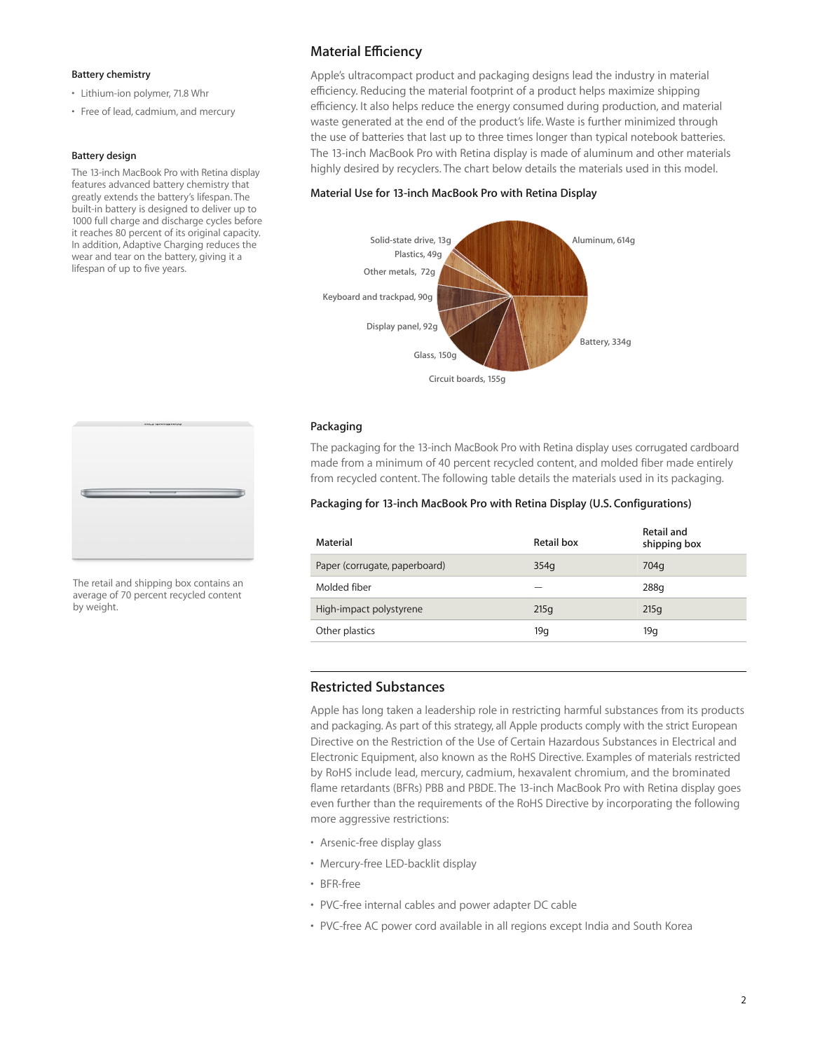#### **Battery chemistry**

- Lithium-ion polymer, 71.8 Whr
- Free of lead, cadmium, and mercury

#### **Battery design**

The 13-inch MacBook Pro with Retina display features advanced battery chemistry that greatly extends the battery's lifespan. The built-in battery is designed to deliver up to 1000 full charge and discharge cycles before it reaches 80 percent of its original capacity. In addition, Adaptive Charging reduces the wear and tear on the battery, giving it a lifespan of up to five years.



The retail and shipping box contains an average of 70 percent recycled content by weight.

# **Material E∑ciency**

Apple's ultracompact product and packaging designs lead the industry in material efficiency. Reducing the material footprint of a product helps maximize shipping efficiency. It also helps reduce the energy consumed during production, and material waste generated at the end of the product's life. Waste is further minimized through the use of batteries that last up to three times longer than typical notebook batteries. The 13-inch MacBook Pro with Retina display is made of aluminum and other materials highly desired by recyclers. The chart below details the materials used in this model.

#### **Material Use for 13-inch MacBook Pro with Retina Display**



#### **Packaging**

The packaging for the 13-inch MacBook Pro with Retina display uses corrugated cardboard made from a minimum of 40 percent recycled content, and molded fiber made entirely from recycled content. The following table details the materials used in its packaging.

## **Packaging for 13-inch MacBook Pro with Retina Display (U.S. Configurations)**

| Material                      | Retail box | Retail and<br>shipping box |
|-------------------------------|------------|----------------------------|
| Paper (corrugate, paperboard) | 354q       | 704q                       |
| Molded fiber                  |            | 288q                       |
| High-impact polystyrene       | 215q       | 215q                       |
| Other plastics                | 19q        | 19q                        |

# **Restricted Substances**

Apple has long taken a leadership role in restricting harmful substances from its products and packaging. As part of this strategy, all Apple products comply with the strict European Directive on the Restriction of the Use of Certain Hazardous Substances in Electrical and Electronic Equipment, also known as the RoHS Directive. Examples of materials restricted by RoHS include lead, mercury, cadmium, hexavalent chromium, and the brominated flame retardants (BFRs) PBB and PBDE. The 13-inch MacBook Pro with Retina display goes even further than the requirements of the RoHS Directive by incorporating the following more aggressive restrictions:

- Arsenic-free display glass
- Mercury-free LED-backlit display
- BFR-free
- PVC-free internal cables and power adapter DC cable
- PVC-free AC power cord available in all regions except India and South Korea